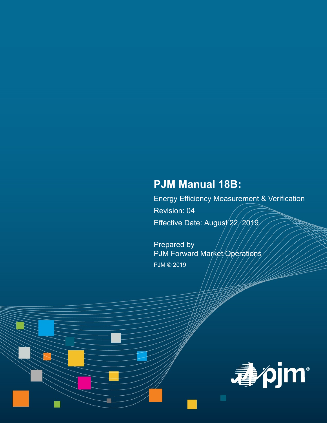# **PJM Manual 18B:**

Energy Efficiency Measurement & Verification Revision: 04 Effective Date: August 22, 2019

Prepared by PJM Forward Market/Operations PJM © 2019

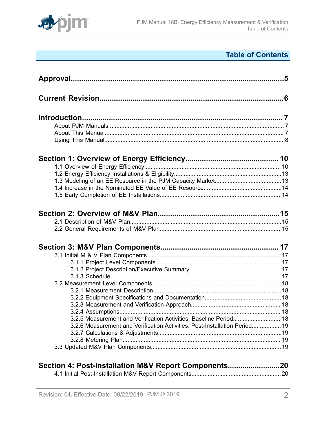

# **Table of Contents**

| 3.2.5 Measurement and Verification Activities: Baseline Period 18          |  |
|----------------------------------------------------------------------------|--|
| 3.2.6 Measurement and Verification Activities: Post-Installation Period 19 |  |
|                                                                            |  |
|                                                                            |  |
|                                                                            |  |
|                                                                            |  |
| Section 4: Post-Installation M&V Report Components20                       |  |

[4.1 Initial Post-Installation M&V Report Components.......................................................](#page-19-1) 20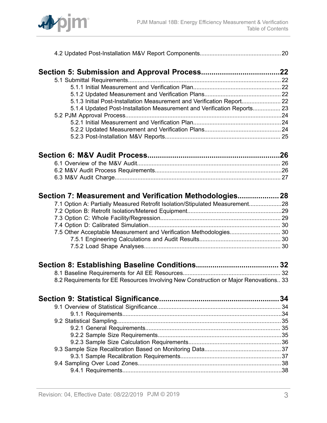

|--|--|

| 5.1.3 Initial Post-Installation Measurement and Verification Report 22  |  |
|-------------------------------------------------------------------------|--|
| 5.1.4 Updated Post-Installation Measurement and Verification Reports 23 |  |
|                                                                         |  |
|                                                                         |  |
|                                                                         |  |
|                                                                         |  |

| Section 7: Measurement and Verification Methodologies 28                     |  |
|------------------------------------------------------------------------------|--|
| 7.1 Option A: Partially Measured Retrofit Isolation/Stipulated Measurement28 |  |
|                                                                              |  |
|                                                                              |  |
|                                                                              |  |
|                                                                              |  |
|                                                                              |  |
|                                                                              |  |
|                                                                              |  |
|                                                                              |  |

| 8.2 Requirements for EE Resources Involving New Construction or Major Renovations 33 |  |  |  |  |
|--------------------------------------------------------------------------------------|--|--|--|--|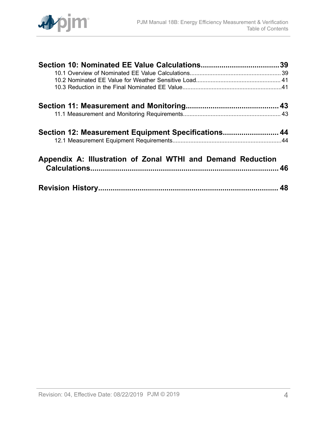

| Section 12: Measurement Equipment Specifications 44         |  |
|-------------------------------------------------------------|--|
|                                                             |  |
| Appendix A: Illustration of Zonal WTHI and Demand Reduction |  |
|                                                             |  |
|                                                             |  |
|                                                             |  |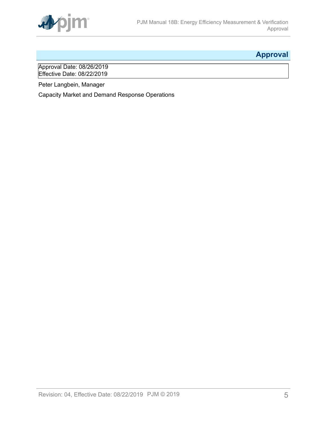

# <span id="page-4-0"></span>**Approval**

Approval Date: 08/26/2019 Effective Date: 08/22/2019

Peter Langbein, Manager

Capacity Market and Demand Response Operations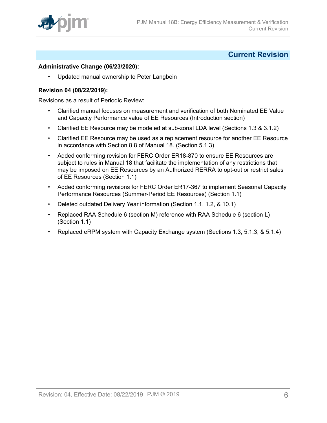

### <span id="page-5-0"></span>**Current Revision**

#### **Administrative Change (06/23/2020):**

• Updated manual ownership to Peter Langbein

#### **Revision 04 (08/22/2019):**

Revisions as a result of Periodic Review:

- Clarified manual focuses on measurement and verification of both Nominated EE Value and Capacity Performance value of EE Resources (Introduction section)
- Clarified EE Resource may be modeled at sub-zonal LDA level (Sections 1.3 & 3.1.2)
- Clarified EE Resource may be used as a replacement resource for another EE Resource in accordance with Section 8.8 of Manual 18. (Section 5.1.3)
- Added conforming revision for FERC Order ER18-870 to ensure EE Resources are subject to rules in Manual 18 that facilitate the implementation of any restrictions that may be imposed on EE Resources by an Authorized RERRA to opt-out or restrict sales of EE Resources (Section 1.1)
- Added conforming revisions for FERC Order ER17-367 to implement Seasonal Capacity Performance Resources (Summer-Period EE Resources) (Section 1.1)
- Deleted outdated Delivery Year information (Section 1.1, 1.2, & 10.1)
- Replaced RAA Schedule 6 (section M) reference with RAA Schedule 6 (section L) (Section 1.1)
- Replaced eRPM system with Capacity Exchange system (Sections 1.3, 5.1.3, & 5.1.4)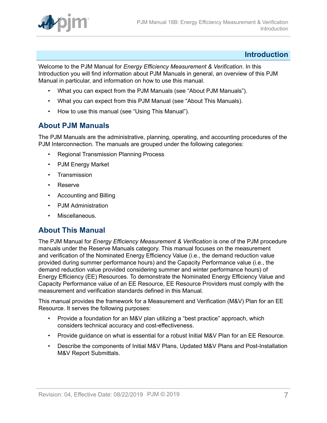

### <span id="page-6-0"></span>**Introduction**

Welcome to the PJM Manual for *Energy Efficiency Measurement & Verification*. In this Introduction you will find information about PJM Manuals in general, an overview of this PJM Manual in particular, and information on how to use this manual.

- What you can expect from the PJM Manuals (see "About PJM Manuals").
- What you can expect from this PJM Manual (see "About This Manuals).
- How to use this manual (see "Using This Manual").

### <span id="page-6-1"></span>**About PJM Manuals**

The PJM Manuals are the administrative, planning, operating, and accounting procedures of the PJM Interconnection. The manuals are grouped under the following categories:

- Regional Transmission Planning Process
- PJM Energy Market
- Transmission
- Reserve
- Accounting and Billing
- PJM Administration
- Miscellaneous.

### <span id="page-6-2"></span>**About This Manual**

The PJM Manual for *Energy Efficiency Measurement & Verification* is one of the PJM procedure manuals under the Reserve Manuals category. This manual focuses on the measurement and verification of the Nominated Energy Efficiency Value (i.e., the demand reduction value provided during summer performance hours) and the Capacity Performance value (i.e., the demand reduction value provided considering summer and winter performance hours) of Energy Efficiency (EE) Resources. To demonstrate the Nominated Energy Efficiency Value and Capacity Performance value of an EE Resource, EE Resource Providers must comply with the measurement and verification standards defined in this Manual.

This manual provides the framework for a Measurement and Verification (M&V) Plan for an EE Resource. It serves the following purposes:

- Provide a foundation for an M&V plan utilizing a "best practice" approach, which considers technical accuracy and cost-effectiveness.
- Provide guidance on what is essential for a robust Initial M&V Plan for an EE Resource.
- Describe the components of Initial M&V Plans, Updated M&V Plans and Post-Installation M&V Report Submittals.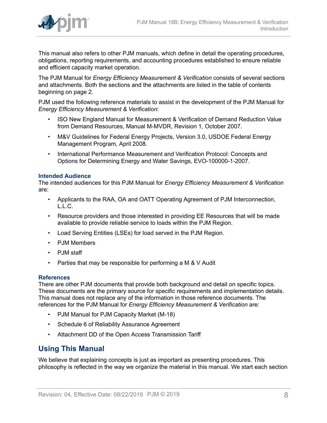

This manual also refers to other PJM manuals, which define in detail the operating procedures, obligations, reporting requirements, and accounting procedures established to ensure reliable and efficient capacity market operation.

The PJM Manual for *Energy Efficiency Measurement & Verification* consists of several sections and attachments. Both the sections and the attachments are listed in the table of contents beginning on page 2.

PJM used the following reference materials to assist in the development of the PJM Manual for *Energy Efficiency Measurement & Verification*:

- ISO New England Manual for Measurement & Verification of Demand Reduction Value from Demand Resources, Manual M-MVDR, Revision 1, October 2007.
- M&V Guidelines for Federal Energy Projects, Version 3.0, USDOE Federal Energy Management Program, April 2008.
- International Performance Measurement and Verification Protocol: Concepts and Options for Determining Energy and Water Savings, EVO-100000-1-2007.

#### **Intended Audience**

The intended audiences for this PJM Manual for *Energy Efficiency Measurement & Verification* are:

- Applicants to the RAA, OA and OATT Operating Agreement of PJM Interconnection, L.L.C.
- Resource providers and those interested in providing EE Resources that will be made available to provide reliable service to loads within the PJM Region.
- Load Serving Entities (LSEs) for load served in the PJM Region.
- PJM Members
- PJM staff
- Parties that may be responsible for performing a M & V Audit

#### **References**

There are other PJM documents that provide both background and detail on specific topics. These documents are the primary source for specific requirements and implementation details. This manual does not replace any of the information in those reference documents. The references for the PJM Manual for *Energy Efficiency Measurement & Verification* are:

- PJM Manual for PJM Capacity Market (M-18)
- Schedule 6 of Reliability Assurance Agreement
- Attachment DD of the Open Access Transmission Tariff

### <span id="page-7-0"></span>**Using This Manual**

We believe that explaining concepts is just as important as presenting procedures. This philosophy is reflected in the way we organize the material in this manual. We start each section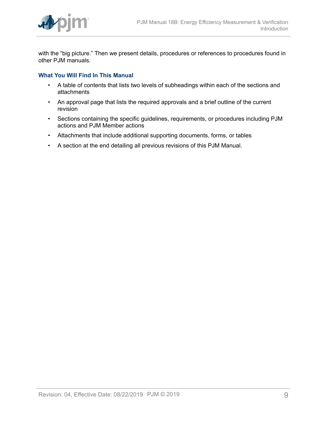

with the "big picture." Then we present details, procedures or references to procedures found in other PJM manuals.

#### **What You Will Find In This Manual**

- A table of contents that lists two levels of subheadings within each of the sections and attachments
- An approval page that lists the required approvals and a brief outline of the current revision
- Sections containing the specific guidelines, requirements, or procedures including PJM actions and PJM Member actions
- Attachments that include additional supporting documents, forms, or tables
- A section at the end detailing all previous revisions of this PJM Manual.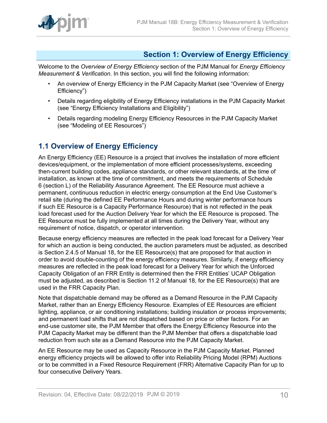

# <span id="page-9-0"></span>**Section 1: Overview of Energy Efficiency**

Welcome to the *Overview of Energy Efficiency* section of the PJM Manual for *Energy Efficiency Measurement & Verification*. In this section, you will find the following information:

- An overview of Energy Efficiency in the PJM Capacity Market (see "Overview of Energy Efficiency")
- Details regarding eligibility of Energy Efficiency installations in the PJM Capacity Market (see "Energy Efficiency Installations and Eligibility")
- Details regarding modeling Energy Efficiency Resources in the PJM Capacity Market (see "Modeling of EE Resources")

# <span id="page-9-1"></span>**1.1 Overview of Energy Efficiency**

An Energy Efficiency (EE) Resource is a project that involves the installation of more efficient devices/equipment, or the implementation of more efficient processes/systems, exceeding then-current building codes, appliance standards, or other relevant standards, at the time of installation, as known at the time of commitment, and meets the requirements of Schedule 6 (section L) of the Reliability Assurance Agreement. The EE Resource must achieve a permanent, continuous reduction in electric energy consumption at the End Use Customer's retail site (during the defined EE Performance Hours and during winter performance hours if such EE Resource is a Capacity Performance Resource) that is not reflected in the peak load forecast used for the Auction Delivery Year for which the EE Resource is proposed. The EE Resource must be fully implemented at all times during the Delivery Year, without any requirement of notice, dispatch, or operator intervention.

Because energy efficiency measures are reflected in the peak load forecast for a Delivery Year for which an auction is being conducted, the auction parameters must be adjusted, as described is Section 2.4.5 of Manual 18, for the EE Resource(s) that are proposed for that auction in order to avoid double-counting of the energy efficiency measures. Similarly, if energy efficiency measures are reflected in the peak load forecast for a Delivery Year for which the Unforced Capacity Obligation of an FRR Entity is determined then the FRR Entities' UCAP Obligation must be adjusted, as described is Section 11.2 of Manual 18, for the EE Resource(s) that are used in the FRR Capacity Plan.

Note that dispatchable demand may be offered as a Demand Resource in the PJM Capacity Market, rather than an Energy Efficiency Resource. Examples of EE Resources are efficient lighting, appliance, or air conditioning installations; building insulation or process improvements; and permanent load shifts that are not dispatched based on price or other factors. For an end-use customer site, the PJM Member that offers the Energy Efficiency Resource into the PJM Capacity Market may be different than the PJM Member that offers a dispatchable load reduction from such site as a Demand Resource into the PJM Capacity Market.

An EE Resource may be used as Capacity Resource in the PJM Capacity Market. Planned energy efficiency projects will be allowed to offer into Reliability Pricing Model (RPM) Auctions or to be committed in a Fixed Resource Requirement (FRR) Alternative Capacity Plan for up to four consecutive Delivery Years.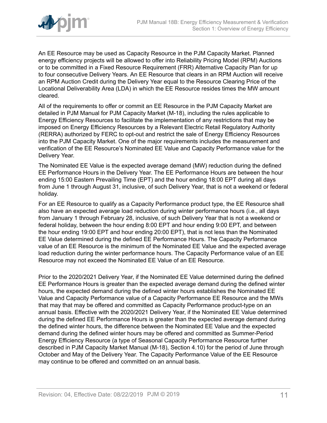

An EE Resource may be used as Capacity Resource in the PJM Capacity Market. Planned energy efficiency projects will be allowed to offer into Reliability Pricing Model (RPM) Auctions or to be committed in a Fixed Resource Requirement (FRR) Alternative Capacity Plan for up to four consecutive Delivery Years. An EE Resource that clears in an RPM Auction will receive an RPM Auction Credit during the Delivery Year equal to the Resource Clearing Price of the Locational Deliverability Area (LDA) in which the EE Resource resides times the MW amount cleared.

All of the requirements to offer or commit an EE Resource in the PJM Capacity Market are detailed in PJM Manual for PJM Capacity Market (M-18), including the rules applicable to Energy Efficiency Resources to facilitate the implementation of any restrictions that may be imposed on Energy Efficiency Resources by a Relevant Electric Retail Regulatory Authority (RERRA) authorized by FERC to opt-out and restrict the sale of Energy Efficiency Resources into the PJM Capacity Market. One of the major requirements includes the measurement and verification of the EE Resource's Nominated EE Value and Capacity Performance value for the Delivery Year.

The Nominated EE Value is the expected average demand (MW) reduction during the defined EE Performance Hours in the Delivery Year. The EE Performance Hours are between the hour ending 15:00 Eastern Prevailing Time (EPT) and the hour ending 18:00 EPT during all days from June 1 through August 31, inclusive, of such Delivery Year, that is not a weekend or federal holiday.

For an EE Resource to qualify as a Capacity Performance product type, the EE Resource shall also have an expected average load reduction during winter performance hours (i.e., all days from January 1 through February 28, inclusive, of such Delivery Year that is not a weekend or federal holiday, between the hour ending 8:00 EPT and hour ending 9:00 EPT, and between the hour ending 19:00 EPT and hour ending 20:00 EPT), that is not less than the Nominated EE Value determined during the defined EE Performance Hours. The Capacity Performance value of an EE Resource is the minimum of the Nominated EE Value and the expected average load reduction during the winter performance hours. The Capacity Performance value of an EE Resource may not exceed the Nominated EE Value of an EE Resource.

Prior to the 2020/2021 Delivery Year, if the Nominated EE Value determined during the defined EE Performance Hours is greater than the expected average demand during the defined winter hours, the expected demand during the defined winter hours establishes the Nominated EE Value and Capacity Performance value of a Capacity Performance EE Resource and the MWs that may that may be offered and committed as Capacity Performance product-type on an annual basis. Effective with the 2020/2021 Delivery Year, if the Nominated EE Value determined during the defined EE Performance Hours is greater than the expected average demand during the defined winter hours, the difference between the Nominated EE Value and the expected demand during the defined winter hours may be offered and committed as Summer-Period Energy Efficiency Resource (a type of Seasonal Capacity Performance Resource further described in PJM Capacity Market Manual (M-18), Section 4.10) for the period of June through October and May of the Delivery Year. The Capacity Performance Value of the EE Resource may continue to be offered and committed on an annual basis.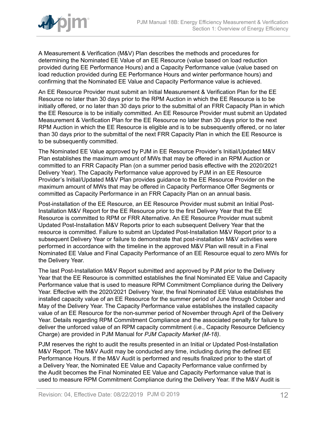

A Measurement & Verification (M&V) Plan describes the methods and procedures for determining the Nominated EE Value of an EE Resource (value based on load reduction provided during EE Performance Hours) and a Capacity Performance value (value based on load reduction provided during EE Performance Hours and winter performance hours) and confirming that the Nominated EE Value and Capacity Performance value is achieved.

An EE Resource Provider must submit an Initial Measurement & Verification Plan for the EE Resource no later than 30 days prior to the RPM Auction in which the EE Resource is to be initially offered, or no later than 30 days prior to the submittal of an FRR Capacity Plan in which the EE Resource is to be initially committed. An EE Resource Provider must submit an Updated Measurement & Verification Plan for the EE Resource no later than 30 days prior to the next RPM Auction in which the EE Resource is eligible and is to be subsequently offered, or no later than 30 days prior to the submittal of the next FRR Capacity Plan in which the EE Resource is to be subsequently committed.

The Nominated EE Value approved by PJM in EE Resource Provider's Initial/Updated M&V Plan establishes the maximum amount of MWs that may be offered in an RPM Auction or committed to an FRR Capacity Plan (on a summer period basis effective with the 2020/2021 Delivery Year). The Capacity Performance value approved by PJM in an EE Resource Provider's Initial/Updated M&V Plan provides guidance to the EE Resource Provider on the maximum amount of MWs that may be offered in Capacity Performance Offer Segments or committed as Capacity Performance in an FRR Capacity Plan on an annual basis.

Post-installation of the EE Resource, an EE Resource Provider must submit an Initial Post-Installation M&V Report for the EE Resource prior to the first Delivery Year that the EE Resource is committed to RPM or FRR Alternative. An EE Resource Provider must submit Updated Post-Installation M&V Reports prior to each subsequent Delivery Year that the resource is committed. Failure to submit an Updated Post-Installation M&V Report prior to a subsequent Delivery Year or failure to demonstrate that post-installation M&V activities were performed in accordance with the timeline in the approved M&V Plan will result in a Final Nominated EE Value and Final Capacity Performance of an EE Resource equal to zero MWs for the Delivery Year.

The last Post-Installation M&V Report submitted and approved by PJM prior to the Delivery Year that the EE Resource is committed establishes the final Nominated EE Value and Capacity Performance value that is used to measure RPM Commitment Compliance during the Delivery Year. Effective with the 2020/2021 Delivery Year, the final Nominated EE Value establishes the installed capacity value of an EE Resource for the summer period of June through October and May of the Delivery Year. The Capacity Performance value establishes the installed capacity value of an EE Resource for the non-summer period of November through April of the Delivery Year. Details regarding RPM Commitment Compliance and the associated penalty for failure to deliver the unforced value of an RPM capacity commitment (i.e., Capacity Resource Deficiency Charge) are provided in PJM Manual for *PJM Capacity Market (M-18)*.

PJM reserves the right to audit the results presented in an Initial or Updated Post-Installation M&V Report. The M&V Audit may be conducted any time, including during the defined EE Performance Hours. If the M&V Audit is performed and results finalized prior to the start of a Delivery Year, the Nominated EE Value and Capacity Performance value confirmed by the Audit becomes the Final Nominated EE Value and Capacity Performance value that is used to measure RPM Commitment Compliance during the Delivery Year. If the M&V Audit is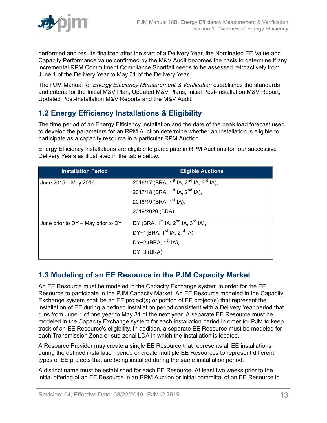

performed and results finalized after the start of a Delivery Year, the Nominated EE Value and Capacity Performance value confirmed by the M&V Audit becomes the basis to determine if any incremental RPM Commitment Compliance Shortfall needs to be assessed retroactively from June 1 of the Delivery Year to May 31 of the Delivery Year.

The PJM Manual for *Energy Efficiency Measurement & Verification* establishes the standards and criteria for the Initial M&V Plan, Updated M&V Plans, Initial Post-Installation M&V Report, Updated Post-Installation M&V Reports and the M&V Audit.

# <span id="page-12-0"></span>**1.2 Energy Efficiency Installations & Eligibility**

The time period of an Energy Efficiency installation and the date of the peak load forecast used to develop the parameters for an RPM Auction determine whether an installation is eligible to participate as a capacity resource in a particular RPM Auction.

Energy Efficiency installations are eligible to participate in RPM Auctions for four successive Delivery Years as illustrated in the table below.

| <b>Installation Period</b>             | <b>Eligible Auctions</b>                                                   |
|----------------------------------------|----------------------------------------------------------------------------|
| June 2015 - May 2016                   | 2016/17 (BRA, 1 <sup>st</sup> IA, 2 <sup>nd</sup> IA, 3 <sup>rd</sup> IA), |
|                                        | 2017/18 (BRA, 1 <sup>st</sup> IA, 2 <sup>nd</sup> IA),                     |
|                                        | 2018/19 (BRA, 1 <sup>st</sup> IA),                                         |
|                                        | 2019/2020 (BRA)                                                            |
| June prior to $DY - May$ prior to $DY$ | DY (BRA, 1 <sup>st</sup> IA, 2 <sup>nd</sup> IA, 3 <sup>rd</sup> IA),      |
|                                        | DY+1(BRA, $1^{st}$ IA, $2^{nd}$ IA),                                       |
|                                        | DY+2 (BRA, 1 <sup>st</sup> IA),                                            |
|                                        | DY+3 (BRA)                                                                 |

# <span id="page-12-1"></span>**1.3 Modeling of an EE Resource in the PJM Capacity Market**

An EE Resource must be modeled in the Capacity Exchange system in order for the EE Resource to participate in the PJM Capacity Market. An EE Resource modeled in the Capacity Exchange system shall be an EE project(s) or portion of EE project(s) that represent the installation of EE during a defined installation period consistent with a Delivery Year period that runs from June 1 of one year to May 31 of the next year. A separate EE Resource must be modeled in the Capacity Exchange system for each installation period in order for PJM to keep track of an EE Resource's eligibility. In addition, a separate EE Resource must be modeled for each Transmission Zone or sub-zonal LDA in which the installation is located.

A Resource Provider may create a single EE Resource that represents all EE installations during the defined installation period or create multiple EE Resources to represent different types of EE projects that are being installed during the same installation period.

A distinct name must be established for each EE Resource. At least two weeks prior to the initial offering of an EE Resource in an RPM Auction or initial committal of an EE Resource in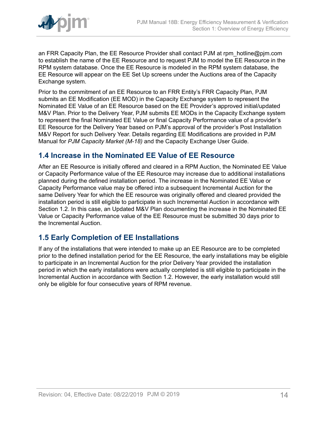

an FRR Capacity Plan, the EE Resource Provider shall contact PJM at rpm\_hotline@pjm.com to establish the name of the EE Resource and to request PJM to model the EE Resource in the RPM system database. Once the EE Resource is modeled in the RPM system database, the EE Resource will appear on the EE Set Up screens under the Auctions area of the Capacity Exchange system.

Prior to the commitment of an EE Resource to an FRR Entity's FRR Capacity Plan, PJM submits an EE Modification (EE MOD) in the Capacity Exchange system to represent the Nominated EE Value of an EE Resource based on the EE Provider's approved initial/updated M&V Plan. Prior to the Delivery Year, PJM submits EE MODs in the Capacity Exchange system to represent the final Nominated EE Value or final Capacity Performance value of a provider's EE Resource for the Delivery Year based on PJM's approval of the provider's Post Installation M&V Report for such Delivery Year. Details regarding EE Modifications are provided in PJM Manual for *PJM Capacity Market (M-18)* and the Capacity Exchange User Guide.

### <span id="page-13-0"></span>**1.4 Increase in the Nominated EE Value of EE Resource**

After an EE Resource is initially offered and cleared in a RPM Auction, the Nominated EE Value or Capacity Performance value of the EE Resource may increase due to additional installations planned during the defined installation period. The increase in the Nominated EE Value or Capacity Performance value may be offered into a subsequent Incremental Auction for the same Delivery Year for which the EE resource was originally offered and cleared provided the installation period is still eligible to participate in such Incremental Auction in accordance with Section 1.2. In this case, an Updated M&V Plan documenting the increase in the Nominated EE Value or Capacity Performance value of the EE Resource must be submitted 30 days prior to the Incremental Auction.

### <span id="page-13-1"></span>**1.5 Early Completion of EE Installations**

If any of the installations that were intended to make up an EE Resource are to be completed prior to the defined installation period for the EE Resource, the early installations may be eligible to participate in an Incremental Auction for the prior Delivery Year provided the installation period in which the early installations were actually completed is still eligible to participate in the Incremental Auction in accordance with Section 1.2. However, the early installation would still only be eligible for four consecutive years of RPM revenue.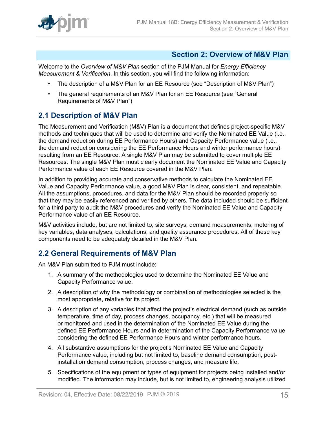

### <span id="page-14-0"></span>**Section 2: Overview of M&V Plan**

Welcome to the *Overview of M&V Plan* section of the PJM Manual for *Energy Efficiency Measurement & Verification*. In this section, you will find the following information:

- The description of a M&V Plan for an EE Resource (see "Description of M&V Plan")
- The general requirements of an M&V Plan for an EE Resource (see "General Requirements of M&V Plan")

### <span id="page-14-1"></span>**2.1 Description of M&V Plan**

The Measurement and Verification (M&V) Plan is a document that defines project-specific M&V methods and techniques that will be used to determine and verify the Nominated EE Value (i.e., the demand reduction during EE Performance Hours) and Capacity Performance value (i.e., the demand reduction considering the EE Performance Hours and winter performance hours) resulting from an EE Resource. A single M&V Plan may be submitted to cover multiple EE Resources. The single M&V Plan must clearly document the Nominated EE Value and Capacity Performance value of each EE Resource covered in the M&V Plan.

In addition to providing accurate and conservative methods to calculate the Nominated EE Value and Capacity Performance value, a good M&V Plan is clear, consistent, and repeatable. All the assumptions, procedures, and data for the M&V Plan should be recorded properly so that they may be easily referenced and verified by others. The data included should be sufficient for a third party to audit the M&V procedures and verify the Nominated EE Value and Capacity Performance value of an EE Resource.

M&V activities include, but are not limited to, site surveys, demand measurements, metering of key variables, data analyses, calculations, and quality assurance procedures. All of these key components need to be adequately detailed in the M&V Plan.

# <span id="page-14-2"></span>**2.2 General Requirements of M&V Plan**

An M&V Plan submitted to PJM must include:

- 1. A summary of the methodologies used to determine the Nominated EE Value and Capacity Performance value.
- 2. A description of why the methodology or combination of methodologies selected is the most appropriate, relative for its project.
- 3. A description of any variables that affect the project's electrical demand (such as outside temperature, time of day, process changes, occupancy, etc.) that will be measured or monitored and used in the determination of the Nominated EE Value during the defined EE Performance Hours and in determination of the Capacity Performance value considering the defined EE Performance Hours and winter performance hours.
- 4. All substantive assumptions for the project's Nominated EE Value and Capacity Performance value, including but not limited to, baseline demand consumption, postinstallation demand consumption, process changes, and measure life.
- 5. Specifications of the equipment or types of equipment for projects being installed and/or modified. The information may include, but is not limited to, engineering analysis utilized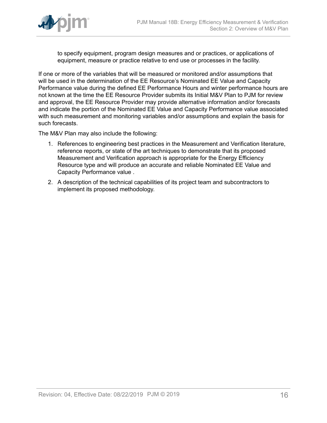

to specify equipment, program design measures and or practices, or applications of equipment, measure or practice relative to end use or processes in the facility.

If one or more of the variables that will be measured or monitored and/or assumptions that will be used in the determination of the EE Resource's Nominated EE Value and Capacity Performance value during the defined EE Performance Hours and winter performance hours are not known at the time the EE Resource Provider submits its Initial M&V Plan to PJM for review and approval, the EE Resource Provider may provide alternative information and/or forecasts and indicate the portion of the Nominated EE Value and Capacity Performance value associated with such measurement and monitoring variables and/or assumptions and explain the basis for such forecasts.

The M&V Plan may also include the following:

- 1. References to engineering best practices in the Measurement and Verification literature, reference reports, or state of the art techniques to demonstrate that its proposed Measurement and Verification approach is appropriate for the Energy Efficiency Resource type and will produce an accurate and reliable Nominated EE Value and Capacity Performance value .
- 2. A description of the technical capabilities of its project team and subcontractors to implement its proposed methodology.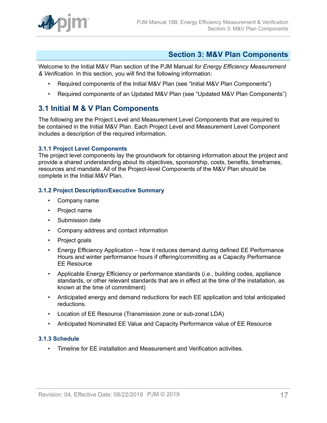

### <span id="page-16-0"></span>**Section 3: M&V Plan Components**

Welcome to the Initial M&V Plan section of the PJM Manual *for Energy Efficiency Measurement & Verification*. In this section, you will find the following information:

- Required components of the Initial M&V Plan (see "Initial M&V Plan Components")
- Required components of an Updated M&V Plan (see "Updated M&V Plan Components")

### <span id="page-16-1"></span>**3.1 Initial M & V Plan Components**

The following are the Project Level and Measurement Level Components that are required to be contained in the Initial M&V Plan. Each Project Level and Measurement Level Component includes a description of the required information.

#### <span id="page-16-2"></span>**3.1.1 Project Level Components**

The project level components lay the groundwork for obtaining information about the project and provide a shared understanding about its objectives, sponsorship, costs, benefits, timeframes, resources and mandate. All of the Project-level Components of the M&V Plan should be complete in the Initial M&V Plan.

#### <span id="page-16-3"></span>**3.1.2 Project Description/Executive Summary**

- Company name
- Project name
- Submission date
- Company address and contact information
- Project goals
- Energy Efficiency Application how it reduces demand during defined EE Performance Hours and winter performance hours if offering/committing as a Capacity Performance EE Resource
- Applicable Energy Efficiency or performance standards (i.e., building codes, appliance standards, or other relevant standards that are in effect at the time of the installation, as known at the time of commitment)
- Anticipated energy and demand reductions for each EE application and total anticipated reductions.
- Location of EE Resource (Transmission zone or sub-zonal LDA)
- Anticipated Nominated EE Value and Capacity Performance value of EE Resource

#### <span id="page-16-4"></span>**3.1.3 Schedule**

• Timeline for EE installation and Measurement and Verification activities.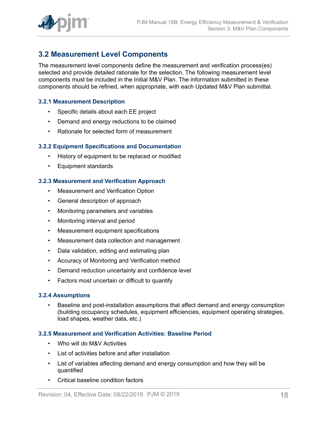

### <span id="page-17-0"></span>**3.2 Measurement Level Components**

The measurement level components define the measurement and verification process(es) selected and provide detailed rationale for the selection. The following measurement level components must be included in the Initial M&V Plan. The information submitted in these components should be refined, when appropriate, with each Updated M&V Plan submittal.

#### <span id="page-17-1"></span>**3.2.1 Measurement Description**

- Specific details about each EE project
- Demand and energy reductions to be claimed
- Rationale for selected form of measurement

#### <span id="page-17-2"></span>**3.2.2 Equipment Specifications and Documentation**

- History of equipment to be replaced or modified
- Equipment standards

#### <span id="page-17-3"></span>**3.2.3 Measurement and Verification Approach**

- Measurement and Verification Option
- General description of approach
- Monitoring parameters and variables
- Monitoring interval and period
- Measurement equipment specifications
- Measurement data collection and management
- Data validation, editing and estimating plan
- Accuracy of Monitoring and Verification method
- Demand reduction uncertainty and confidence level
- Factors most uncertain or difficult to quantify

#### <span id="page-17-4"></span>**3.2.4 Assumptions**

• Baseline and post-installation assumptions that affect demand and energy consumption (building occupancy schedules, equipment efficiencies, equipment operating strategies, load shapes, weather data, etc.)

#### <span id="page-17-5"></span>**3.2.5 Measurement and Verification Activities: Baseline Period**

- Who will do M&V Activities
- List of activities before and after installation
- List of variables affecting demand and energy consumption and how they will be quantified
- Critical baseline condition factors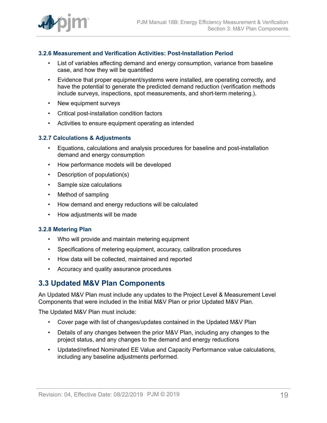

#### <span id="page-18-0"></span>**3.2.6 Measurement and Verification Activities: Post-Installation Period**

- List of variables affecting demand and energy consumption, variance from baseline case, and how they will be quantified
- Evidence that proper equipment/systems were installed, are operating correctly, and have the potential to generate the predicted demand reduction (verification methods include surveys, inspections, spot measurements, and short-term metering.).
- New equipment surveys
- Critical post-installation condition factors
- Activities to ensure equipment operating as intended

#### <span id="page-18-1"></span>**3.2.7 Calculations & Adjustments**

- Equations, calculations and analysis procedures for baseline and post-installation demand and energy consumption
- How performance models will be developed
- Description of population(s)
- Sample size calculations
- Method of sampling
- How demand and energy reductions will be calculated
- How adjustments will be made

#### <span id="page-18-2"></span>**3.2.8 Metering Plan**

- Who will provide and maintain metering equipment
- Specifications of metering equipment, accuracy, calibration procedures
- How data will be collected, maintained and reported
- Accuracy and quality assurance procedures

### <span id="page-18-3"></span>**3.3 Updated M&V Plan Components**

An Updated M&V Plan must include any updates to the Project Level & Measurement Level Components that were included in the Initial M&V Plan or prior Updated M&V Plan.

The Updated M&V Plan must include:

- Cover page with list of changes/updates contained in the Updated M&V Plan
- Details of any changes between the prior M&V Plan, including any changes to the project status, and any changes to the demand and energy reductions
- Updated/refined Nominated EE Value and Capacity Performance value calculations, including any baseline adjustments performed.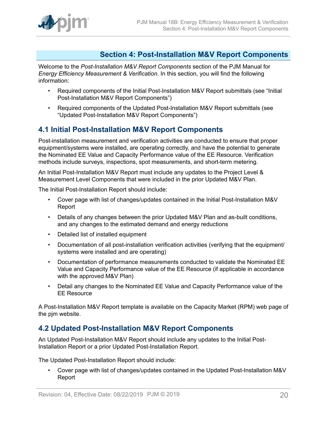

### <span id="page-19-0"></span>**Section 4: Post-Installation M&V Report Components**

Welcome to the *Post-Installation M&V Report Components* section of the PJM Manual for *Energy Efficiency Measurement & Verification*. In this section, you will find the following information:

- Required components of the Initial Post-Installation M&V Report submittals (see "Initial Post-Installation M&V Report Components")
- Required components of the Updated Post-Installation M&V Report submittals (see "Updated Post-Installation M&V Report Components")

### <span id="page-19-1"></span>**4.1 Initial Post-Installation M&V Report Components**

Post-installation measurement and verification activities are conducted to ensure that proper equipment/systems were installed, are operating correctly, and have the potential to generate the Nominated EE Value and Capacity Performance value of the EE Resource. Verification methods include surveys, inspections, spot measurements, and short-term metering.

An Initial Post-Installation M&V Report must include any updates to the Project Level & Measurement Level Components that were included in the prior Updated M&V Plan.

The Initial Post-Installation Report should include:

- Cover page with list of changes/updates contained in the Initial Post-Installation M&V Report
- Details of any changes between the prior Updated M&V Plan and as-built conditions, and any changes to the estimated demand and energy reductions
- Detailed list of installed equipment
- Documentation of all post-installation verification activities (verifying that the equipment/ systems were installed and are operating)
- Documentation of performance measurements conducted to validate the Nominated EE Value and Capacity Performance value of the EE Resource (if applicable in accordance with the approved M&V Plan)
- Detail any changes to the Nominated EE Value and Capacity Performance value of the EE Resource

A Post-Installation M&V Report template is available on the Capacity Market (RPM) web page of the pjm website.

### <span id="page-19-2"></span>**4.2 Updated Post-Installation M&V Report Components**

An Updated Post-Installation M&V Report should include any updates to the Initial Post-Installation Report or a prior Updated Post-Installation Report.

The Updated Post-Installation Report should include:

• Cover page with list of changes/updates contained in the Updated Post-Installation M&V Report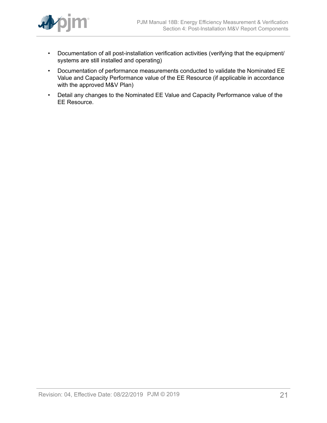

- Documentation of all post-installation verification activities (verifying that the equipment/ systems are still installed and operating)
- Documentation of performance measurements conducted to validate the Nominated EE Value and Capacity Performance value of the EE Resource (if applicable in accordance with the approved M&V Plan)
- Detail any changes to the Nominated EE Value and Capacity Performance value of the EE Resource.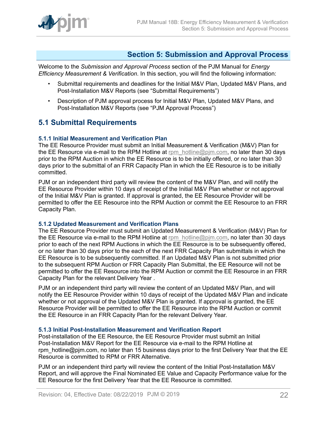

### <span id="page-21-0"></span>**Section 5: Submission and Approval Process**

Welcome to the *Submission and Approval Process* section of the PJM Manual for *Energy Efficiency Measurement & Verification*. In this section, you will find the following information:

- Submittal requirements and deadlines for the Initial M&V Plan, Updated M&V Plans, and Post-Installation M&V Reports (see "Submittal Requirements")
- Description of PJM approval process for Initial M&V Plan, Updated M&V Plans, and Post-Installation M&V Reports (see "PJM Approval Process")

### <span id="page-21-1"></span>**5.1 Submittal Requirements**

#### <span id="page-21-2"></span>**5.1.1 Initial Measurement and Verification Plan**

The EE Resource Provider must submit an Initial Measurement & Verification (M&V) Plan for the EE Resource via e-mail to the RPM Hotline at rpm  $h$  hotline@pjm.com, no later than 30 days prior to the RPM Auction in which the EE Resource is to be initially offered, or no later than 30 days prior to the submittal of an FRR Capacity Plan in which the EE Resource is to be initially committed.

PJM or an independent third party will review the content of the M&V Plan, and will notify the EE Resource Provider within 10 days of receipt of the Initial M&V Plan whether or not approval of the Initial M&V Plan is granted. If approval is granted, the EE Resource Provider will be permitted to offer the EE Resource into the RPM Auction or commit the EE Resource to an FRR Capacity Plan.

#### <span id="page-21-3"></span>**5.1.2 Updated Measurement and Verification Plans**

The EE Resource Provider must submit an Updated Measurement & Verification (M&V) Plan for the EE Resource via e-mail to the RPM Hotline at [rpm\\_hotline@pjm.com,](mailto:rpm_hotline@pjm.com) no later than 30 days prior to each of the next RPM Auctions in which the EE Resource is to be subsequently offered, or no later than 30 days prior to the each of the next FRR Capacity Plan submittals in which the EE Resource is to be subsequently committed. If an Updated M&V Plan is not submitted prior to the subsequent RPM Auction or FRR Capacity Plan Submittal, the EE Resource will not be permitted to offer the EE Resource into the RPM Auction or commit the EE Resource in an FRR Capacity Plan for the relevant Delivery Year .

PJM or an independent third party will review the content of an Updated M&V Plan, and will notify the EE Resource Provider within 10 days of receipt of the Updated M&V Plan and indicate whether or not approval of the Updated M&V Plan is granted. If approval is granted, the EE Resource Provider will be permitted to offer the EE Resource into the RPM Auction or commit the EE Resource in an FRR Capacity Plan for the relevant Delivery Year.

#### <span id="page-21-4"></span>**5.1.3 Initial Post-Installation Measurement and Verification Report**

Post-installation of the EE Resource, the EE Resource Provider must submit an Initial Post-Installation M&V Report for the EE Resource via e-mail to the RPM Hotline at rpm\_hotline@pjm.com, no later than 15 business days prior to the first Delivery Year that the EE Resource is committed to RPM or FRR Alternative.

PJM or an independent third party will review the content of the Initial Post-Installation M&V Report, and will approve the Final Nominated EE Value and Capacity Performance value for the EE Resource for the first Delivery Year that the EE Resource is committed.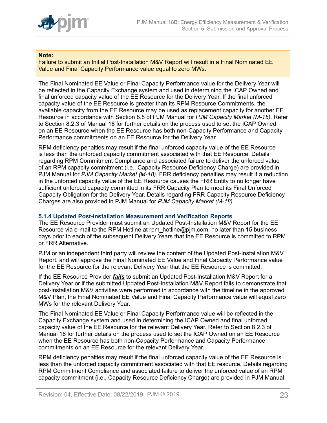

#### **Note:**

Failure to submit an Initial Post-Installation M&V Report will result in a Final Nominated EE Value and Final Capacity Performance value equal to zero MWs.

The Final Nominated EE Value or Final Capacity Performance value for the Delivery Year will be reflected in the Capacity Exchange system and used in determining the ICAP Owned and final unforced capacity value of the EE Resource for the Delivery Year. If the final unforced capacity value of the EE Resource is greater than its RPM Resource Commitments, the available capacity from the EE Resource may be used as replacement capacity for another EE Resource in accordance with Section 8.8 of PJM Manual for *PJM Capacity Market (M-18)*. Refer to Section 8.2.3 of Manual 18 for further details on the process used to set the ICAP Owned on an EE Resource when the EE Resource has both non-Capacity Performance and Capacity Performance commitments on an EE Resource for the Delivery Year.

RPM deficiency penalties may result if the final unforced capacity value of the EE Resource is less than the unforced capacity commitment associated with that EE Resource. Details regarding RPM Commitment Compliance and associated failure to deliver the unforced value of an RPM capacity commitment (i.e., Capacity Resource Deficiency Charge) are provided in PJM Manual for *PJM Capacity Market (M-18)*. FRR deficiency penalties may result if a reduction in the unforced capacity value of the EE Resource causes the FRR Entity to no longer have sufficient unforced capacity committed in its FRR Capacity Plan to meet its Final Unforced Capacity Obligation for the Delivery Year. Details regarding FRR Capacity Resource Deficiency Charges are also provided in PJM Manual for *PJM Capacity Market (M-18)*.

#### <span id="page-22-0"></span>**5.1.4 Updated Post-Installation Measurement and Verification Reports**

The EE Resource Provider must submit an Updated Post-Installation M&V Report for the EE Resource via e-mail to the RPM Hotline at rpm\_hotline@pjm.com, no later than 15 business days prior to each of the subsequent Delivery Years that the EE Resource is committed to RPM or FRR Alternative.

PJM or an independent third party will review the content of the Updated Post-Installation M&V Report, and will approve the Final Nominated EE Value and Final Capacity Performance value for the EE Resource for the relevant Delivery Year that the EE Resource is committed.

If the EE Resource Provider *fails* to submit an Updated Post-Installation M&V Report for a Delivery Year or if the submitted Updated Post-Installation M&V Report fails to demonstrate that post-installation M&V activities were performed in accordance with the timeline in the approved M&V Plan, the Final Nominated EE Value and Final Capacity Performance value will equal zero MWs for the relevant Delivery Year.

The Final Nominated EE Value or Final Capacity Performance value will be reflected in the Capacity Exchange system and used in determining the ICAP Owned and final unforced capacity value of the EE Resource for the relevant Delivery Year. Refer to Section 8.2.3 of Manual 18 for further details on the process used to set the ICAP Owned on an EE Resource when the EE Resource has both non-Capacity Performance and Capacity Performance commitments on an EE Resource for the relevant Delivery Year.

RPM deficiency penalties may result if the final unforced capacity value of the EE Resource is less than the unforced capacity commitment associated with that EE resource. Details regarding RPM Commitment Compliance and associated failure to deliver the unforced value of an RPM capacity commitment (i.e., Capacity Resource Deficiency Charge) are provided in PJM Manual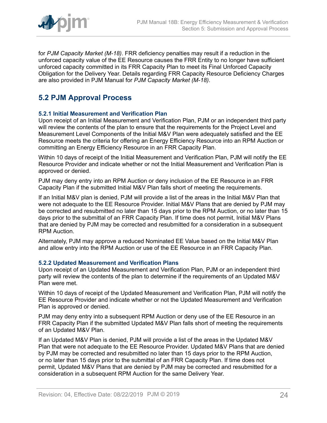

for *PJM Capacity Market (M-18)*. FRR deficiency penalties may result if a reduction in the unforced capacity value of the EE Resource causes the FRR Entity to no longer have sufficient unforced capacity committed in its FRR Capacity Plan to meet its Final Unforced Capacity Obligation for the Delivery Year. Details regarding FRR Capacity Resource Deficiency Charges are also provided in PJM Manual for *PJM Capacity Market (M-18)*.

# <span id="page-23-0"></span>**5.2 PJM Approval Process**

#### <span id="page-23-1"></span>**5.2.1 Initial Measurement and Verification Plan**

Upon receipt of an Initial Measurement and Verification Plan, PJM or an independent third party will review the contents of the plan to ensure that the requirements for the Project Level and Measurement Level Components of the Initial M&V Plan were adequately satisfied and the EE Resource meets the criteria for offering an Energy Efficiency Resource into an RPM Auction or committing an Energy Efficiency Resource in an FRR Capacity Plan.

Within 10 days of receipt of the Initial Measurement and Verification Plan, PJM will notify the EE Resource Provider and indicate whether or not the Initial Measurement and Verification Plan is approved or denied.

PJM may deny entry into an RPM Auction or deny inclusion of the EE Resource in an FRR Capacity Plan if the submitted Initial M&V Plan falls short of meeting the requirements.

If an Initial M&V plan is denied, PJM will provide a list of the areas in the Initial M&V Plan that were not adequate to the EE Resource Provider. Initial M&V Plans that are denied by PJM may be corrected and resubmitted no later than 15 days prior to the RPM Auction, or no later than 15 days prior to the submittal of an FRR Capacity Plan. If time does not permit, Initial M&V Plans that are denied by PJM may be corrected and resubmitted for a consideration in a subsequent RPM Auction.

Alternately, PJM may approve a reduced Nominated EE Value based on the Initial M&V Plan and allow entry into the RPM Auction or use of the EE Resource in an FRR Capacity Plan.

#### <span id="page-23-2"></span>**5.2.2 Updated Measurement and Verification Plans**

Upon receipt of an Updated Measurement and Verification Plan, PJM or an independent third party will review the contents of the plan to determine if the requirements of an Updated M&V Plan were met.

Within 10 days of receipt of the Updated Measurement and Verification Plan, PJM will notify the EE Resource Provider and indicate whether or not the Updated Measurement and Verification Plan is approved or denied.

PJM may deny entry into a subsequent RPM Auction or deny use of the EE Resource in an FRR Capacity Plan if the submitted Updated M&V Plan falls short of meeting the requirements of an Updated M&V Plan.

If an Updated M&V Plan is denied, PJM will provide a list of the areas in the Updated M&V Plan that were not adequate to the EE Resource Provider. Updated M&V Plans that are denied by PJM may be corrected and resubmitted no later than 15 days prior to the RPM Auction, or no later than 15 days prior to the submittal of an FRR Capacity Plan. If time does not permit, Updated M&V Plans that are denied by PJM may be corrected and resubmitted for a consideration in a subsequent RPM Auction for the same Delivery Year.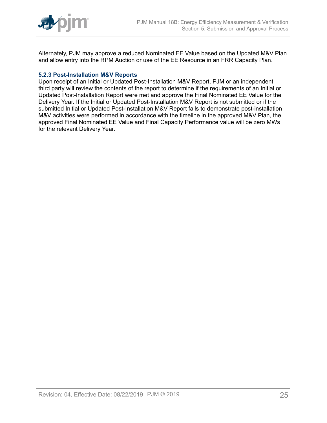

Alternately, PJM may approve a reduced Nominated EE Value based on the Updated M&V Plan and allow entry into the RPM Auction or use of the EE Resource in an FRR Capacity Plan.

#### <span id="page-24-0"></span>**5.2.3 Post-Installation M&V Reports**

Upon receipt of an Initial or Updated Post-Installation M&V Report, PJM or an independent third party will review the contents of the report to determine if the requirements of an Initial or Updated Post-Installation Report were met and approve the Final Nominated EE Value for the Delivery Year. If the Initial or Updated Post-Installation M&V Report is not submitted or if the submitted Initial or Updated Post-Installation M&V Report fails to demonstrate post-installation M&V activities were performed in accordance with the timeline in the approved M&V Plan, the approved Final Nominated EE Value and Final Capacity Performance value will be zero MWs for the relevant Delivery Year.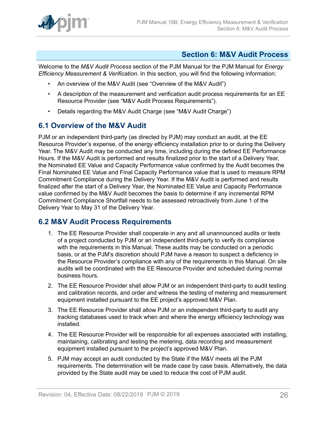

### <span id="page-25-0"></span>**Section 6: M&V Audit Process**

Welcome to the *M&V Audit Process* section of the PJM Manual for the PJM Manual for *Energy Efficiency Measurement & Verification*. In this section, you will find the following information:

- An overview of the M&V Audit (see "Overview of the M&V Audit")
- A description of the measurement and verification audit process requirements for an EE Resource Provider (see "M&V Audit Process Requirements").
- Details regarding the M&V Audit Charge (see "M&V Audit Charge")

### <span id="page-25-1"></span>**6.1 Overview of the M&V Audit**

PJM or an independent third-party (as directed by PJM) may conduct an audit, at the EE Resource Provider's expense, of the energy efficiency installation prior to or during the Delivery Year. The M&V Audit may be conducted any time, including during the defined EE Performance Hours. If the M&V Audit is performed and results finalized prior to the start of a Delivery Year, the Nominated EE Value and Capacity Performance value confirmed by the Audit becomes the Final Nominated EE Value and Final Capacity Performance value that is used to measure RPM Commitment Compliance during the Delivery Year. If the M&V Audit is performed and results finalized after the start of a Delivery Year, the Nominated EE Value and Capacity Performance value confirmed by the M&V Audit becomes the basis to determine if any incremental RPM Commitment Compliance Shortfall needs to be assessed retroactively from June 1 of the Delivery Year to May 31 of the Delivery Year.

### <span id="page-25-2"></span>**6.2 M&V Audit Process Requirements**

- 1. The EE Resource Provider shall cooperate in any and all unannounced audits or tests of a project conducted by PJM or an independent third-party to verify its compliance with the requirements in this Manual. These audits may be conducted on a periodic basis, or at the PJM's discretion should PJM have a reason to suspect a deficiency in the Resource Provider's compliance with any of the requirements in this Manual. On site audits will be coordinated with the EE Resource Provider and scheduled during normal business hours.
- 2. The EE Resource Provider shall allow PJM or an independent third-party to audit testing and calibration records, and order and witness the testing of metering and measurement equipment installed pursuant to the EE project's approved M&V Plan.
- 3. The EE Resource Provider shall allow PJM or an independent third-party to audit any tracking databases used to track when and where the energy efficiency technology was installed.
- 4. The EE Resource Provider will be responsible for all expenses associated with installing, maintaining, calibrating and testing the metering, data recording and measurement equipment installed pursuant to the project's approved M&V Plan.
- 5. PJM may accept an audit conducted by the State if the M&V meets all the PJM requirements. The determination will be made case by case basis. Alternatively, the data provided by the State audit may be used to reduce the cost of PJM audit.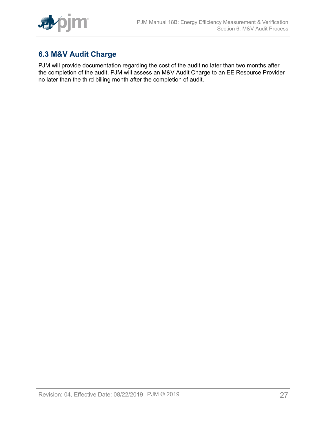

# <span id="page-26-0"></span>**6.3 M&V Audit Charge**

PJM will provide documentation regarding the cost of the audit no later than two months after the completion of the audit. PJM will assess an M&V Audit Charge to an EE Resource Provider no later than the third billing month after the completion of audit.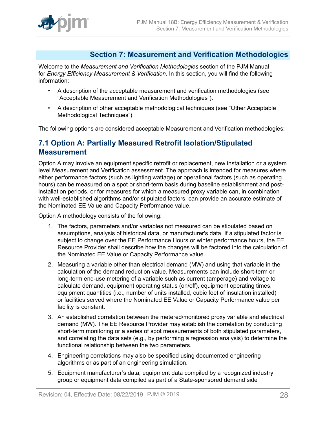

### <span id="page-27-0"></span>**Section 7: Measurement and Verification Methodologies**

Welcome to the *Measurement and Verification Methodologies* section of the PJM Manual for *Energy Efficiency Measurement & Verification*. In this section, you will find the following information:

- A description of the acceptable measurement and verification methodologies (see "Acceptable Measurement and Verification Methodologies").
- A description of other acceptable methodological techniques (see "Other Acceptable Methodological Techniques").

The following options are considered acceptable Measurement and Verification methodologies:

### <span id="page-27-1"></span>**7.1 Option A: Partially Measured Retrofit Isolation/Stipulated Measurement**

Option A may involve an equipment specific retrofit or replacement, new installation or a system level Measurement and Verification assessment. The approach is intended for measures where either performance factors (such as lighting wattage) or operational factors (such as operating hours) can be measured on a spot or short-term basis during baseline establishment and postinstallation periods, or for measures for which a measured proxy variable can, in combination with well-established algorithms and/or stipulated factors, can provide an accurate estimate of the Nominated EE Value and Capacity Performance value.

Option A methodology consists of the following:

- 1. The factors, parameters and/or variables not measured can be stipulated based on assumptions, analysis of historical data, or manufacturer's data. If a stipulated factor is subject to change over the EE Performance Hours or winter performance hours, the EE Resource Provider shall describe how the changes will be factored into the calculation of the Nominated EE Value or Capacity Performance value.
- 2. Measuring a variable other than electrical demand (MW) and using that variable in the calculation of the demand reduction value. Measurements can include short-term or long-term end-use metering of a variable such as current (amperage) and voltage to calculate demand, equipment operating status (on/off), equipment operating times, equipment quantities (i.e., number of units installed, cubic feet of insulation installed) or facilities served where the Nominated EE Value or Capacity Performance value per facility is constant.
- 3. An established correlation between the metered/monitored proxy variable and electrical demand (MW). The EE Resource Provider may establish the correlation by conducting short-term monitoring or a series of spot measurements of both stipulated parameters, and correlating the data sets (e.g., by performing a regression analysis) to determine the functional relationship between the two parameters.
- 4. Engineering correlations may also be specified using documented engineering algorithms or as part of an engineering simulation.
- 5. Equipment manufacturer's data, equipment data compiled by a recognized industry group or equipment data compiled as part of a State-sponsored demand side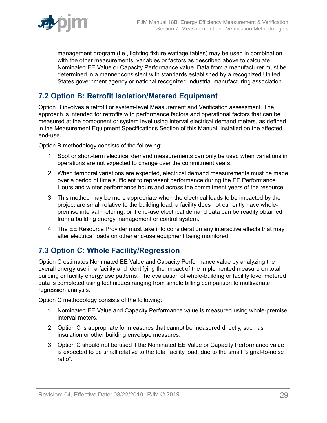

management program (i.e., lighting fixture wattage tables) may be used in combination with the other measurements, variables or factors as described above to calculate Nominated EE Value or Capacity Performance value. Data from a manufacturer must be determined in a manner consistent with standards established by a recognized United States government agency or national recognized industrial manufacturing association.

### <span id="page-28-0"></span>**7.2 Option B: Retrofit Isolation/Metered Equipment**

Option B involves a retrofit or system-level Measurement and Verification assessment. The approach is intended for retrofits with performance factors and operational factors that can be measured at the component or system level using interval electrical demand meters, as defined in the Measurement Equipment Specifications Section of this Manual, installed on the affected end-use.

Option B methodology consists of the following:

- 1. Spot or short-term electrical demand measurements can only be used when variations in operations are not expected to change over the commitment years.
- 2. When temporal variations are expected, electrical demand measurements must be made over a period of time sufficient to represent performance during the EE Performance Hours and winter performance hours and across the commitment years of the resource.
- 3. This method may be more appropriate when the electrical loads to be impacted by the project are small relative to the building load, a facility does not currently have wholepremise interval metering, or if end-use electrical demand data can be readily obtained from a building energy management or control system.
- 4. The EE Resource Provider must take into consideration any interactive effects that may alter electrical loads on other end-use equipment being monitored.

### <span id="page-28-1"></span>**7.3 Option C: Whole Facility/Regression**

Option C estimates Nominated EE Value and Capacity Performance value by analyzing the overall energy use in a facility and identifying the impact of the implemented measure on total building or facility energy use patterns. The evaluation of whole-building or facility level metered data is completed using techniques ranging from simple billing comparison to multivariate regression analysis.

Option C methodology consists of the following:

- 1. Nominated EE Value and Capacity Performance value is measured using whole-premise interval meters.
- 2. Option C is appropriate for measures that cannot be measured directly, such as insulation or other building envelope measures.
- 3. Option C should not be used if the Nominated EE Value or Capacity Performance value is expected to be small relative to the total facility load, due to the small "signal-to-noise ratio".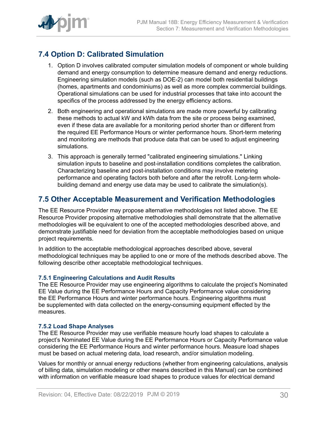

# <span id="page-29-0"></span>**7.4 Option D: Calibrated Simulation**

- 1. Option D involves calibrated computer simulation models of component or whole building demand and energy consumption to determine measure demand and energy reductions. Engineering simulation models (such as DOE-2) can model both residential buildings (homes, apartments and condominiums) as well as more complex commercial buildings. Operational simulations can be used for industrial processes that take into account the specifics of the process addressed by the energy efficiency actions.
- 2. Both engineering and operational simulations are made more powerful by calibrating these methods to actual kW and kWh data from the site or process being examined, even if these data are available for a monitoring period shorter than or different from the required EE Performance Hours or winter performance hours. Short-term metering and monitoring are methods that produce data that can be used to adjust engineering simulations.
- 3. This approach is generally termed "calibrated engineering simulations." Linking simulation inputs to baseline and post-installation conditions completes the calibration. Characterizing baseline and post-installation conditions may involve metering performance and operating factors both before and after the retrofit. Long-term wholebuilding demand and energy use data may be used to calibrate the simulation(s).

### <span id="page-29-1"></span>**7.5 Other Acceptable Measurement and Verification Methodologies**

The EE Resource Provider may propose alternative methodologies not listed above. The EE Resource Provider proposing alternative methodologies shall demonstrate that the alternative methodologies will be equivalent to one of the accepted methodologies described above, and demonstrate justifiable need for deviation from the acceptable methodologies based on unique project requirements.

In addition to the acceptable methodological approaches described above, several methodological techniques may be applied to one or more of the methods described above. The following describe other acceptable methodological techniques.

#### <span id="page-29-2"></span>**7.5.1 Engineering Calculations and Audit Results**

The EE Resource Provider may use engineering algorithms to calculate the project's Nominated EE Value during the EE Performance Hours and Capacity Performance value considering the EE Performance Hours and winter performance hours. Engineering algorithms must be supplemented with data collected on the energy-consuming equipment effected by the measures.

#### <span id="page-29-3"></span>**7.5.2 Load Shape Analyses**

The EE Resource Provider may use verifiable measure hourly load shapes to calculate a project's Nominated EE Value during the EE Performance Hours or Capacity Performance value considering the EE Performance Hours and winter performance hours. Measure load shapes must be based on actual metering data, load research, and/or simulation modeling.

Values for monthly or annual energy reductions (whether from engineering calculations, analysis of billing data, simulation modeling or other means described in this Manual) can be combined with information on verifiable measure load shapes to produce values for electrical demand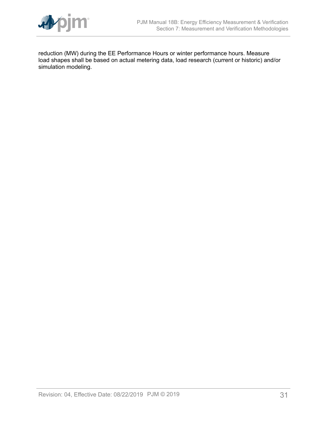

reduction (MW) during the EE Performance Hours or winter performance hours. Measure load shapes shall be based on actual metering data, load research (current or historic) and/or simulation modeling.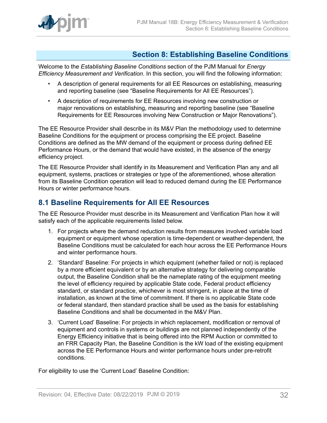

### <span id="page-31-0"></span>**Section 8: Establishing Baseline Conditions**

Welcome to the *Establishing Baseline Conditions* section of the PJM Manual for *Energy Efficiency Measurement and Verification*. In this section, you will find the following information:

- A description of general requirements for all EE Resources on establishing, measuring and reporting baseline (see "Baseline Requirements for All EE Resources").
- A description of requirements for EE Resources involving new construction or major renovations on establishing, measuring and reporting baseline (see "Baseline Requirements for EE Resources involving New Construction or Major Renovations").

The EE Resource Provider shall describe in its M&V Plan the methodology used to determine Baseline Conditions for the equipment or process comprising the EE project. Baseline Conditions are defined as the MW demand of the equipment or process during defined EE Performance Hours, or the demand that would have existed, in the absence of the energy efficiency project.

The EE Resource Provider shall identify in its Measurement and Verification Plan any and all equipment, systems, practices or strategies or type of the aforementioned, whose alteration from its Baseline Condition operation will lead to reduced demand during the EE Performance Hours or winter performance hours.

### <span id="page-31-1"></span>**8.1 Baseline Requirements for All EE Resources**

The EE Resource Provider must describe in its Measurement and Verification Plan how it will satisfy each of the applicable requirements listed below.

- 1. For projects where the demand reduction results from measures involved variable load equipment or equipment whose operation is time-dependent or weather-dependent, the Baseline Conditions must be calculated for each hour across the EE Performance Hours and winter performance hours.
- 2. 'Standard' Baseline: For projects in which equipment (whether failed or not) is replaced by a more efficient equivalent or by an alternative strategy for delivering comparable output, the Baseline Condition shall be the nameplate rating of the equipment meeting the level of efficiency required by applicable State code, Federal product efficiency standard, or standard practice, whichever is most stringent, in place at the time of installation, as known at the time of commitment. If there is no applicable State code or federal standard, then standard practice shall be used as the basis for establishing Baseline Conditions and shall be documented in the M&V Plan.
- 3. 'Current Load' Baseline: For projects in which replacement, modification or removal of equipment and controls in systems or buildings are not planned independently of the Energy Efficiency initiative that is being offered into the RPM Auction or committed to an FRR Capacity Plan, the Baseline Condition is the kW load of the existing equipment across the EE Performance Hours and winter performance hours under pre-retrofit conditions.

For eligibility to use the 'Current Load' Baseline Condition: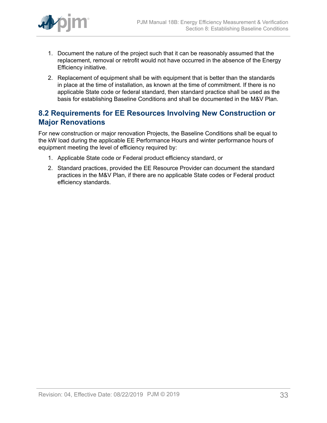

- 1. Document the nature of the project such that it can be reasonably assumed that the replacement, removal or retrofit would not have occurred in the absence of the Energy Efficiency initiative.
- 2. Replacement of equipment shall be with equipment that is better than the standards in place at the time of installation, as known at the time of commitment. If there is no applicable State code or federal standard, then standard practice shall be used as the basis for establishing Baseline Conditions and shall be documented in the M&V Plan.

### <span id="page-32-0"></span>**8.2 Requirements for EE Resources Involving New Construction or Major Renovations**

For new construction or major renovation Projects, the Baseline Conditions shall be equal to the kW load during the applicable EE Performance Hours and winter performance hours of equipment meeting the level of efficiency required by:

- 1. Applicable State code or Federal product efficiency standard, or
- 2. Standard practices, provided the EE Resource Provider can document the standard practices in the M&V Plan, if there are no applicable State codes or Federal product efficiency standards.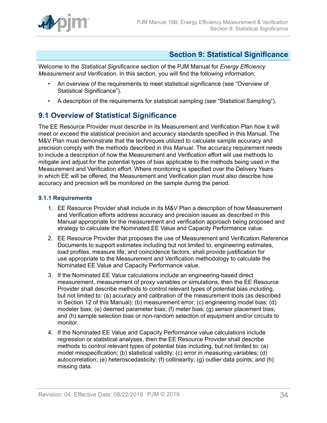

### <span id="page-33-0"></span>**Section 9: Statistical Significance**

Welcome to the *Statistical Significance* section of the PJM Manual for *Energy Efficiency Measurement and Verification*. In this section, you will find the following information:

- An overview of the requirements to meet statistical significance (see "Overview of Statistical Significance").
- A description of the requirements for statistical sampling (see "Statistical Sampling").

# <span id="page-33-1"></span>**9.1 Overview of Statistical Significance**

The EE Resource Provider must describe in its Measurement and Verification Plan how it will meet or exceed the statistical precision and accuracy standards specified in this Manual. The M&V Plan must demonstrate that the techniques utilized to calculate sample accuracy and precision comply with the methods described in this Manual. The accuracy requirement needs to include a description of how the Measurement and Verification effort will use methods to mitigate and adjust for the potential types of bias applicable to the methods being used in the Measurement and Verification effort. Where monitoring is specified over the Delivery Years in which EE will be offered, the Measurement and Verification plan must also describe how accuracy and precision will be monitored on the sample during the period.

#### <span id="page-33-2"></span>**9.1.1 Requirements**

- 1. EE Resource Provider shall include in its M&V Plan a description of how Measurement and Verification efforts address accuracy and precision issues as described in this Manual appropriate for the measurement and verification approach being proposed and strategy to calculate the Nominated EE Value and Capacity Performance value.
- 2. EE Resource Provider that proposes the use of Measurement and Verification Reference Documents to support estimates including but not limited to, engineering estimates, load profiles, measure life, and coincidence factors, shall provide justification for use appropriate to the Measurement and Verification methodology to calculate the Nominated EE Value and Capacity Performance value.
- 3. If the Nominated EE Value calculations include an engineering-based direct measurement, measurement of proxy variables or simulations, then the EE Resource Provider shall describe methods to control relevant types of potential bias including, but not limited to: (a) accuracy and calibration of the measurement tools (as described in Section 12 of this Manual); (b) measurement error; (c) engineering model bias; (d) modeler bias; (e) deemed parameter bias; (f) meter bias; (g) sensor placement bias; and (h) sample selection bias or non-random selection of equipment and/or circuits to monitor.
- 4. If the Nominated EE Value and Capacity Performance value calculations include regression or statistical analyses, then the EE Resource Provider shall describe methods to control relevant types of potential bias including, but not limited to: (a) model misspecification; (b) statistical validity; (c) error in measuring variables; (d) autocorrelation; (e) heteroscedasticity; (f) collinearity; (g) outlier data points; and (h) missing data.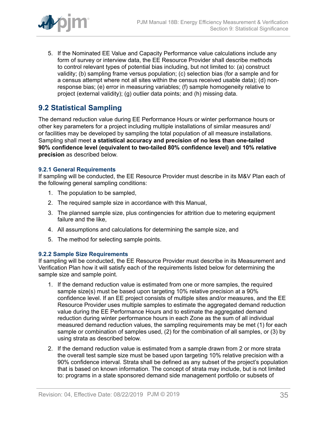

5. If the Nominated EE Value and Capacity Performance value calculations include any form of survey or interview data, the EE Resource Provider shall describe methods to control relevant types of potential bias including, but not limited to: (a) construct validity; (b) sampling frame versus population; (c) selection bias (for a sample and for a census attempt where not all sites within the census received usable data); (d) nonresponse bias; (e) error in measuring variables; (f) sample homogeneity relative to project (external validity); (g) outlier data points; and (h) missing data.

# <span id="page-34-0"></span>**9.2 Statistical Sampling**

The demand reduction value during EE Performance Hours or winter performance hours or other key parameters for a project including multiple installations of similar measures and/ or facilities may be developed by sampling the total population of all measure installations. Sampling shall meet **a statistical accuracy and precision of no less than one-tailed 90% confidence level (equivalent to two-tailed 80% confidence level) and 10% relative precision** as described below.

#### <span id="page-34-1"></span>**9.2.1 General Requirements**

If sampling will be conducted, the EE Resource Provider must describe in its M&V Plan each of the following general sampling conditions:

- 1. The population to be sampled,
- 2. The required sample size in accordance with this Manual,
- 3. The planned sample size, plus contingencies for attrition due to metering equipment failure and the like,
- 4. All assumptions and calculations for determining the sample size, and
- 5. The method for selecting sample points.

#### <span id="page-34-2"></span>**9.2.2 Sample Size Requirements**

If sampling will be conducted, the EE Resource Provider must describe in its Measurement and Verification Plan how it will satisfy each of the requirements listed below for determining the sample size and sample point.

- 1. If the demand reduction value is estimated from one or more samples, the required sample size(s) must be based upon targeting 10% relative precision at a 90% confidence level. If an EE project consists of multiple sites and/or measures, and the EE Resource Provider uses multiple samples to estimate the aggregated demand reduction value during the EE Performance Hours and to estimate the aggregated demand reduction during winter performance hours in each Zone as the sum of all individual measured demand reduction values, the sampling requirements may be met (1) for each sample or combination of samples used, (2) for the combination of all samples, or (3) by using strata as described below.
- 2. If the demand reduction value is estimated from a sample drawn from 2 or more strata the overall test sample size must be based upon targeting 10% relative precision with a 90% confidence interval. Strata shall be defined as any subset of the project's population that is based on known information. The concept of strata may include, but is not limited to: programs in a state sponsored demand side management portfolio or subsets of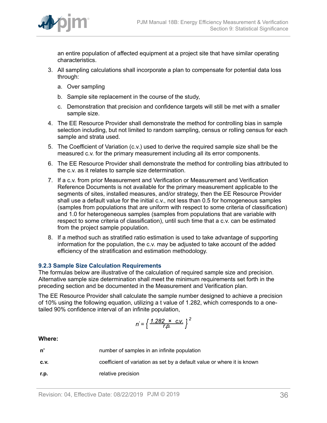

an entire population of affected equipment at a project site that have similar operating characteristics.

- 3. All sampling calculations shall incorporate a plan to compensate for potential data loss through:
	- a. Over sampling
	- b. Sample site replacement in the course of the study,
	- c. Demonstration that precision and confidence targets will still be met with a smaller sample size.
- 4. The EE Resource Provider shall demonstrate the method for controlling bias in sample selection including, but not limited to random sampling, census or rolling census for each sample and strata used.
- 5. The Coefficient of Variation (c.v.) used to derive the required sample size shall be the measured c.v. for the primary measurement including all its error components.
- 6. The EE Resource Provider shall demonstrate the method for controlling bias attributed to the c.v. as it relates to sample size determination.
- 7. If a c.v. from prior Measurement and Verification or Measurement and Verification Reference Documents is not available for the primary measurement applicable to the segments of sites, installed measures, and/or strategy, then the EE Resource Provider shall use a default value for the initial c.v., not less than 0.5 for homogeneous samples (samples from populations that are uniform with respect to some criteria of classification) and 1.0 for heterogeneous samples (samples from populations that are variable with respect to some criteria of classification), until such time that a c.v. can be estimated from the project sample population.
- 8. If a method such as stratified ratio estimation is used to take advantage of supporting information for the population, the c.v. may be adjusted to take account of the added efficiency of the stratification and estimation methodology.

#### <span id="page-35-0"></span>**9.2.3 Sample Size Calculation Requirements**

The formulas below are illustrative of the calculation of required sample size and precision. Alternative sample size determination shall meet the minimum requirements set forth in the preceding section and be documented in the Measurement and Verification plan.

The EE Resource Provider shall calculate the sample number designed to achieve a precision of 10% using the following equation, utilizing a t value of 1.282, which corresponds to a onetailed 90% confidence interval of an infinite population,

$$
n' = \left\{ \frac{1.282 \times \text{C.V.}}{r.p.} \right\}^2
$$

#### **Where:**

| n'   | number of samples in an infinite population                             |
|------|-------------------------------------------------------------------------|
| C.V. | coefficient of variation as set by a default value or where it is known |
| r.p. | relative precision                                                      |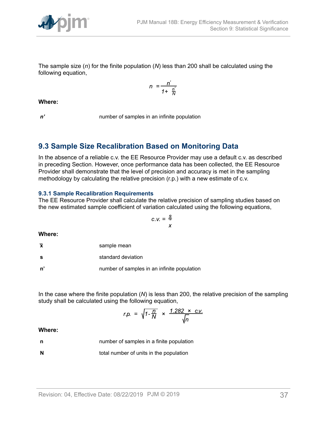

The sample size (*n*) for the finite population (*N*) less than 200 shall be calculated using the following equation,

$$
n = \frac{n'}{1 + \frac{n'}{N}}
$$

**Where:**

*n'* number of samples in an infinite population

### <span id="page-36-0"></span>**9.3 Sample Size Recalibration Based on Monitoring Data**

In the absence of a reliable c.v. the EE Resource Provider may use a default c.v. as described in preceding Section. However, once performance data has been collected, the EE Resource Provider shall demonstrate that the level of precision and accuracy is met in the sampling methodology by calculating the relative precision (r.p.) with a new estimate of c.v.

#### <span id="page-36-1"></span>**9.3.1 Sample Recalibration Requirements**

The EE Resource Provider shall calculate the relative precision of sampling studies based on the new estimated sample coefficient of variation calculated using the following equations,

$$
C.V. = \frac{S}{x}
$$

**Where:**

|  | sample mean |
|--|-------------|
|--|-------------|

**s** standard deviation

**n'** number of samples in an infinite population

In the case where the finite population (*N*) is less than 200, the relative precision of the sampling study shall be calculated using the following equation,

$$
r.p. = \sqrt{1 - \frac{n}{N}} \times \frac{1.282 \times c.v.}{\sqrt{n}}
$$

#### **Where:**

**n number of samples in a finite population** 

**N** total number of units in the population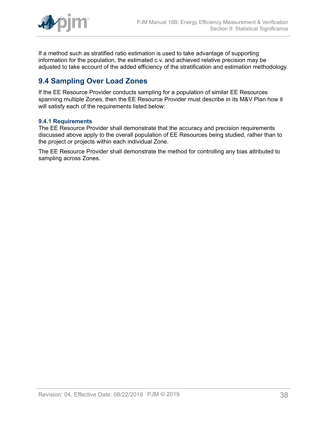

If a method such as stratified ratio estimation is used to take advantage of supporting information for the population, the estimated c.v. and achieved relative precision may be adjusted to take account of the added efficiency of the stratification and estimation methodology.

# <span id="page-37-0"></span>**9.4 Sampling Over Load Zones**

If the EE Resource Provider conducts sampling for a population of similar EE Resources spanning multiple Zones, then the EE Resource Provider must describe in its M&V Plan how it will satisfy each of the requirements listed below:

#### <span id="page-37-1"></span>**9.4.1 Requirements**

The EE Resource Provider shall demonstrate that the accuracy and precision requirements discussed above apply to the overall population of EE Resources being studied, rather than to the project or projects within each individual Zone.

The EE Resource Provider shall demonstrate the method for controlling any bias attributed to sampling across Zones.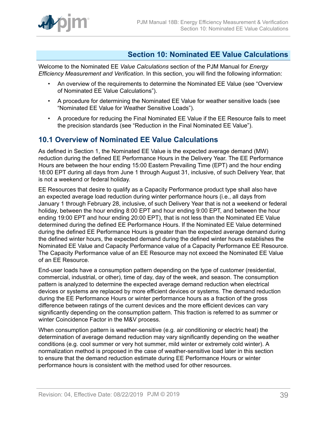

### <span id="page-38-0"></span>**Section 10: Nominated EE Value Calculations**

Welcome to the Nominated EE *Value Calculations* section of the PJM Manual for *Energy Efficiency Measurement and Verification*. In this section, you will find the following information:

- An overview of the requirements to determine the Nominated EE Value (see "Overview of Nominated EE Value Calculations").
- A procedure for determining the Nominated EE Value for weather sensitive loads (see "Nominated EE Value for Weather Sensitive Loads").
- A procedure for reducing the Final Nominated EE Value if the EE Resource fails to meet the precision standards (see "Reduction in the Final Nominated EE Value").

### <span id="page-38-1"></span>**10.1 Overview of Nominated EE Value Calculations**

As defined in Section 1, the Nominated EE Value is the expected average demand (MW) reduction during the defined EE Performance Hours in the Delivery Year. The EE Performance Hours are between the hour ending 15:00 Eastern Prevailing Time (EPT) and the hour ending 18:00 EPT during all days from June 1 through August 31, inclusive, of such Delivery Year, that is not a weekend or federal holiday.

EE Resources that desire to qualify as a Capacity Performance product type shall also have an expected average load reduction during winter performance hours (i.e., all days from January 1 through February 28, inclusive, of such Delivery Year that is not a weekend or federal holiday, between the hour ending 8:00 EPT and hour ending 9:00 EPT, and between the hour ending 19:00 EPT and hour ending 20:00 EPT), that is not less than the Nominated EE Value determined during the defined EE Performance Hours. If the Nominated EE Value determined during the defined EE Performance Hours is greater than the expected average demand during the defined winter hours, the expected demand during the defined winter hours establishes the Nominated EE Value and Capacity Performance value of a Capacity Performance EE Resource. The Capacity Performance value of an EE Resource may not exceed the Nominated EE Value of an EE Resource.

End-user loads have a consumption pattern depending on the type of customer (residential, commercial, industrial, or other), time of day, day of the week, and season. The consumption pattern is analyzed to determine the expected average demand reduction when electrical devices or systems are replaced by more efficient devices or systems. The demand reduction during the EE Performance Hours or winter performance hours as a fraction of the gross difference between ratings of the current devices and the more efficient devices can vary significantly depending on the consumption pattern. This fraction is referred to as summer or winter Coincidence Factor in the M&V process.

When consumption pattern is weather-sensitive (e.g. air conditioning or electric heat) the determination of average demand reduction may vary significantly depending on the weather conditions (e.g. cool summer or very hot summer, mild winter or extremely cold winter). A normalization method is proposed in the case of weather-sensitive load later in this section to ensure that the demand reduction estimate during EE Performance Hours or winter performance hours is consistent with the method used for other resources.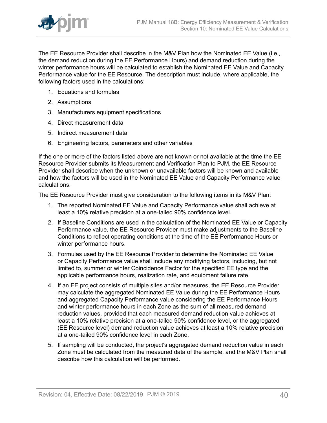

The EE Resource Provider shall describe in the M&V Plan how the Nominated EE Value (i.e., the demand reduction during the EE Performance Hours) and demand reduction during the winter performance hours will be calculated to establish the Nominated EE Value and Capacity Performance value for the EE Resource. The description must include, where applicable, the following factors used in the calculations:

- 1. Equations and formulas
- 2. Assumptions
- 3. Manufacturers equipment specifications
- 4. Direct measurement data
- 5. Indirect measurement data
- 6. Engineering factors, parameters and other variables

If the one or more of the factors listed above are not known or not available at the time the EE Resource Provider submits its Measurement and Verification Plan to PJM, the EE Resource Provider shall describe when the unknown or unavailable factors will be known and available and how the factors will be used in the Nominated EE Value and Capacity Performance value calculations.

The EE Resource Provider must give consideration to the following items in its M&V Plan:

- 1. The reported Nominated EE Value and Capacity Performance value shall achieve at least a 10% relative precision at a one-tailed 90% confidence level.
- 2. If Baseline Conditions are used in the calculation of the Nominated EE Value or Capacity Performance value, the EE Resource Provider must make adjustments to the Baseline Conditions to reflect operating conditions at the time of the EE Performance Hours or winter performance hours.
- 3. Formulas used by the EE Resource Provider to determine the Nominated EE Value or Capacity Performance value shall include any modifying factors, including, but not limited to, summer or winter Coincidence Factor for the specified EE type and the applicable performance hours, realization rate, and equipment failure rate.
- 4. If an EE project consists of multiple sites and/or measures, the EE Resource Provider may calculate the aggregated Nominated EE Value during the EE Performance Hours and aggregated Capacity Performance value considering the EE Performance Hours and winter performance hours in each Zone as the sum of all measured demand reduction values, provided that each measured demand reduction value achieves at least a 10% relative precision at a one-tailed 90% confidence level, or the aggregated (EE Resource level) demand reduction value achieves at least a 10% relative precision at a one-tailed 90% confidence level in each Zone.
- 5. If sampling will be conducted, the project's aggregated demand reduction value in each Zone must be calculated from the measured data of the sample, and the M&V Plan shall describe how this calculation will be performed.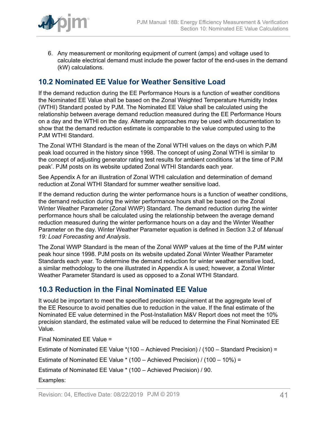

6. Any measurement or monitoring equipment of current (amps) and voltage used to calculate electrical demand must include the power factor of the end-uses in the demand (kW) calculations.

### <span id="page-40-0"></span>**10.2 Nominated EE Value for Weather Sensitive Load**

If the demand reduction during the EE Performance Hours is a function of weather conditions the Nominated EE Value shall be based on the Zonal Weighted Temperature Humidity Index (WTHI) Standard posted by PJM. The Nominated EE Value shall be calculated using the relationship between average demand reduction measured during the EE Performance Hours on a day and the WTHI on the day. Alternate approaches may be used with documentation to show that the demand reduction estimate is comparable to the value computed using to the PJM WTHI Standard.

The Zonal WTHI Standard is the mean of the Zonal WTHI values on the days on which PJM peak load occurred in the history since 1998. The concept of using Zonal WTHI is similar to the concept of adjusting generator rating test results for ambient conditions 'at the time of PJM peak'. PJM posts on its website updated Zonal WTHI Standards each year.

See Appendix A for an illustration of Zonal WTHI calculation and determination of demand reduction at Zonal WTHI Standard for summer weather sensitive load.

If the demand reduction during the winter performance hours is a function of weather conditions, the demand reduction during the winter performance hours shall be based on the Zonal Winter Weather Parameter (Zonal WWP) Standard. The demand reduction during the winter performance hours shall be calculated using the relationship between the average demand reduction measured during the winter performance hours on a day and the Winter Weather Parameter on the day. Winter Weather Parameter equation is defined in Section 3.2 of *Manual 19: Load Forecasting and Analysis*.

The Zonal WWP Standard is the mean of the Zonal WWP values at the time of the PJM winter peak hour since 1998. PJM posts on its website updated Zonal Winter Weather Parameter Standards each year. To determine the demand reduction for winter weather sensitive load, a similar methodology to the one illustrated in Appendix A is used; however, a Zonal Winter Weather Parameter Standard is used as opposed to a Zonal WTHI Standard.

### <span id="page-40-1"></span>**10.3 Reduction in the Final Nominated EE Value**

It would be important to meet the specified precision requirement at the aggregate level of the EE Resource to avoid penalties due to reduction in the value. If the final estimate of the Nominated EE value determined in the Post-Installation M&V Report does not meet the 10% precision standard, the estimated value will be reduced to determine the Final Nominated EE Value.

Final Nominated EE Value =

Estimate of Nominated EE Value \*(100 – Achieved Precision) / (100 – Standard Precision) =

Estimate of Nominated EE Value \* (100 – Achieved Precision) / (100 – 10%) =

Estimate of Nominated EE Value \* (100 – Achieved Precision) / 90.

Examples: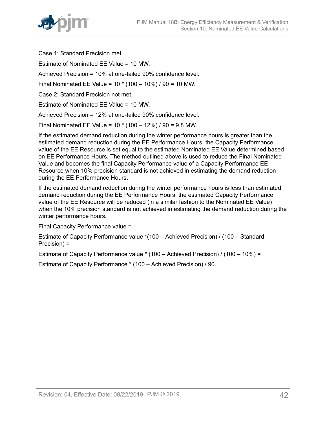

Case 1: Standard Precision met.

Estimate of Nominated EE Value = 10 MW.

Achieved Precision = 10% at one-tailed 90% confidence level.

Final Nominated EE Value = 10 \* (100 – 10%) / 90 = 10 MW.

Case 2: Standard Precision not met.

Estimate of Nominated EE Value = 10 MW.

Achieved Precision = 12% at one-tailed 90% confidence level.

Final Nominated EE Value = 10 \* (100 – 12%) / 90 = 9.8 MW.

If the estimated demand reduction during the winter performance hours is greater than the estimated demand reduction during the EE Performance Hours, the Capacity Performance value of the EE Resource is set equal to the estimated Nominated EE Value determined based on EE Performance Hours. The method outlined above is used to reduce the Final Nominated Value and becomes the final Capacity Performance value of a Capacity Performance EE Resource when 10% precision standard is not achieved in estimating the demand reduction during the EE Performance Hours.

If the estimated demand reduction during the winter performance hours is less than estimated demand reduction during the EE Performance Hours, the estimated Capacity Performance value of the EE Resource will be reduced (in a similar fashion to the Nominated EE Value) when the 10% precision standard is not achieved in estimating the demand reduction during the winter performance hours.

Final Capacity Performance value =

Estimate of Capacity Performance value \*(100 – Achieved Precision) / (100 – Standard Precision) =

Estimate of Capacity Performance value \* (100 – Achieved Precision) / (100 – 10%) =

Estimate of Capacity Performance \* (100 – Achieved Precision) / 90.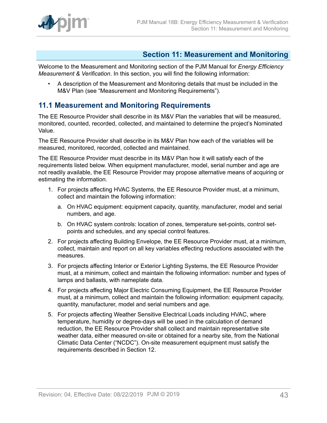

### <span id="page-42-0"></span>**Section 11: Measurement and Monitoring**

Welcome to the Measurement and Monitoring section of the PJM Manual for *Energy Efficiency Measurement & Verification*. In this section, you will find the following information:

• A description of the Measurement and Monitoring details that must be included in the M&V Plan (see "Measurement and Monitoring Requirements").

### <span id="page-42-1"></span>**11.1 Measurement and Monitoring Requirements**

The EE Resource Provider shall describe in its M&V Plan the variables that will be measured, monitored, counted, recorded, collected, and maintained to determine the project's Nominated Value.

The EE Resource Provider shall describe in its M&V Plan how each of the variables will be measured, monitored, recorded, collected and maintained.

The EE Resource Provider must describe in its M&V Plan how it will satisfy each of the requirements listed below. When equipment manufacturer, model, serial number and age are not readily available, the EE Resource Provider may propose alternative means of acquiring or estimating the information.

- 1. For projects affecting HVAC Systems, the EE Resource Provider must, at a minimum, collect and maintain the following information:
	- a. On HVAC equipment: equipment capacity, quantity, manufacturer, model and serial numbers, and age.
	- b. On HVAC system controls: location of zones, temperature set-points, control setpoints and schedules, and any special control features.
- 2. For projects affecting Building Envelope, the EE Resource Provider must, at a minimum, collect, maintain and report on all key variables effecting reductions associated with the measures.
- 3. For projects affecting Interior or Exterior Lighting Systems, the EE Resource Provider must, at a minimum, collect and maintain the following information: number and types of lamps and ballasts, with nameplate data.
- 4. For projects affecting Major Electric Consuming Equipment, the EE Resource Provider must, at a minimum, collect and maintain the following information: equipment capacity, quantity, manufacturer, model and serial numbers and age.
- 5. For projects affecting Weather Sensitive Electrical Loads including HVAC, where temperature, humidity or degree-days will be used in the calculation of demand reduction, the EE Resource Provider shall collect and maintain representative site weather data, either measured on-site or obtained for a nearby site, from the National Climatic Data Center ("NCDC"). On-site measurement equipment must satisfy the requirements described in Section 12.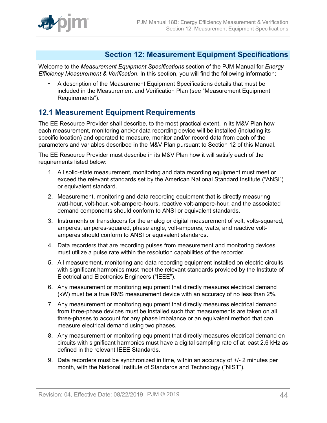

### <span id="page-43-0"></span>**Section 12: Measurement Equipment Specifications**

Welcome to the *Measurement Equipment Specifications* section of the PJM Manual for *Energy Efficiency Measurement & Verification*. In this section, you will find the following information:

• A description of the Measurement Equipment Specifications details that must be included in the Measurement and Verification Plan (see "Measurement Equipment Requirements").

### <span id="page-43-1"></span>**12.1 Measurement Equipment Requirements**

The EE Resource Provider shall describe, to the most practical extent, in its M&V Plan how each measurement, monitoring and/or data recording device will be installed (including its specific location) and operated to measure, monitor and/or record data from each of the parameters and variables described in the M&V Plan pursuant to Section 12 of this Manual.

The EE Resource Provider must describe in its M&V Plan how it will satisfy each of the requirements listed below:

- 1. All solid-state measurement, monitoring and data recording equipment must meet or exceed the relevant standards set by the American National Standard Institute ("ANSI") or equivalent standard.
- 2. Measurement, monitoring and data recording equipment that is directly measuring watt-hour, volt-hour, volt-ampere-hours, reactive volt-ampere-hour, and the associated demand components should conform to ANSI or equivalent standards.
- 3. Instruments or transducers for the analog or digital measurement of volt, volts-squared, amperes, amperes-squared, phase angle, volt-amperes, watts, and reactive voltamperes should conform to ANSI or equivalent standards.
- 4. Data recorders that are recording pulses from measurement and monitoring devices must utilize a pulse rate within the resolution capabilities of the recorder.
- 5. All measurement, monitoring and data recording equipment installed on electric circuits with significant harmonics must meet the relevant standards provided by the Institute of Electrical and Electronics Engineers ("IEEE").
- 6. Any measurement or monitoring equipment that directly measures electrical demand (kW) must be a true RMS measurement device with an accuracy of no less than 2%.
- 7. Any measurement or monitoring equipment that directly measures electrical demand from three-phase devices must be installed such that measurements are taken on all three-phases to account for any phase imbalance or an equivalent method that can measure electrical demand using two phases.
- 8. Any measurement or monitoring equipment that directly measures electrical demand on circuits with significant harmonics must have a digital sampling rate of at least 2.6 kHz as defined in the relevant IEEE Standards.
- 9. Data recorders must be synchronized in time, within an accuracy of +/- 2 minutes per month, with the National Institute of Standards and Technology ("NIST").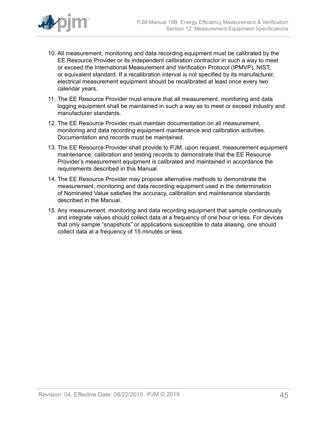

- 10. All measurement, monitoring and data recording equipment must be calibrated by the EE Resource Provider or its independent calibration contractor in such a way to meet or exceed the International Measurement and Verification Protocol (IPMVP), NIST, or equivalent standard. If a recalibration interval is not specified by its manufacturer, electrical measurement equipment should be recalibrated at least once every two calendar years.
- 11. The EE Resource Provider must ensure that all measurement, monitoring and data logging equipment shall be maintained in such a way as to meet or exceed industry and manufacturer standards.
- 12. The EE Resource Provider must maintain documentation on all measurement, monitoring and data recording equipment maintenance and calibration activities. Documentation and records must be maintained.
- 13. The EE Resource Provider shall provide to PJM, upon request, measurement equipment maintenance, calibration and testing records to demonstrate that the EE Resource Provider's measurement equipment is calibrated and maintained in accordance the requirements described in this Manual.
- 14. The EE Resource Provider may propose alternative methods to demonstrate the measurement, monitoring and data recording equipment used in the determination of Nominated Value satisfies the accuracy, calibration and maintenance standards described in the Manual.
- 15. Any measurement, monitoring and data recording equipment that sample continuously and integrate values should collect data at a frequency of one hour or less. For devices that only sample "snapshots" or applications susceptible to data aliasing, one should collect data at a frequency of 15 minutes or less.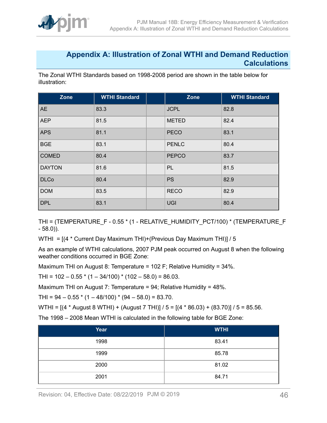

### <span id="page-45-0"></span>**Appendix A: Illustration of Zonal WTHI and Demand Reduction Calculations**

The Zonal WTHI Standards based on 1998-2008 period are shown in the table below for illustration:

| Zone          | <b>WTHI Standard</b> | Zone         | <b>WTHI Standard</b> |
|---------------|----------------------|--------------|----------------------|
| <b>AE</b>     | 83.3                 | <b>JCPL</b>  | 82.8                 |
| <b>AEP</b>    | 81.5                 | <b>METED</b> | 82.4                 |
| <b>APS</b>    | 81.1                 | <b>PECO</b>  | 83.1                 |
| <b>BGE</b>    | 83.1                 | <b>PENLC</b> | 80.4                 |
| <b>COMED</b>  | 80.4                 | <b>PEPCO</b> | 83.7                 |
| <b>DAYTON</b> | 81.6                 | PL           | 81.5                 |
| <b>DLCo</b>   | 80.4                 | <b>PS</b>    | 82.9                 |
| <b>DOM</b>    | 83.5                 | <b>RECO</b>  | 82.9                 |
| <b>DPL</b>    | 83.1                 | <b>UGI</b>   | 80.4                 |

THI = (TEMPERATURE\_F - 0.55 \* (1 - RELATIVE\_HUMIDITY\_PCT/100) \* (TEMPERATURE\_F - 58.0)).

WTHI = [(4 \* Current Day Maximum THI)+(Previous Day Maximum THI)] / 5

As an example of WTHI calculations, 2007 PJM peak occurred on August 8 when the following weather conditions occurred in BGE Zone:

Maximum THI on August 8: Temperature = 102 F; Relative Humidity = 34%.

THI =  $102 - 0.55$  \*  $(1 - 34/100)$  \*  $(102 - 58.0)$  = 86.03.

Maximum THI on August 7: Temperature = 94; Relative Humidity = 48%.

THI =  $94 - 0.55$  \* (1 – 48/100) \* (94 – 58.0) = 83.70.

WTHI = [(4 \* August 8 WTHI) + (August 7 THI)] / 5 = [(4 \* 86.03) + (83.70)] / 5 = 85.56.

The 1998 – 2008 Mean WTHI is calculated in the following table for BGE Zone:

| Year | <b>WTHI</b> |
|------|-------------|
| 1998 | 83.41       |
| 1999 | 85.78       |
| 2000 | 81.02       |
| 2001 | 84.71       |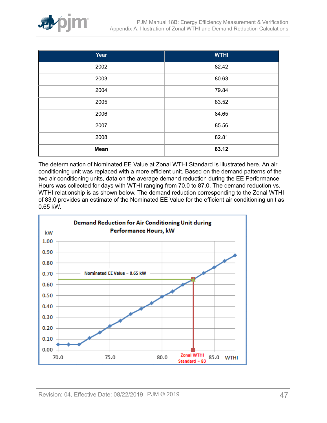

| Year        | <b>WTHI</b> |
|-------------|-------------|
| 2002        | 82.42       |
| 2003        | 80.63       |
| 2004        | 79.84       |
| 2005        | 83.52       |
| 2006        | 84.65       |
| 2007        | 85.56       |
| 2008        | 82.81       |
| <b>Mean</b> | 83.12       |

The determination of Nominated EE Value at Zonal WTHI Standard is illustrated here. An air conditioning unit was replaced with a more efficient unit. Based on the demand patterns of the two air conditioning units, data on the average demand reduction during the EE Performance Hours was collected for days with WTHI ranging from 70.0 to 87.0. The demand reduction vs. WTHI relationship is as shown below. The demand reduction corresponding to the Zonal WTHI of 83.0 provides an estimate of the Nominated EE Value for the efficient air conditioning unit as 0.65 kW.